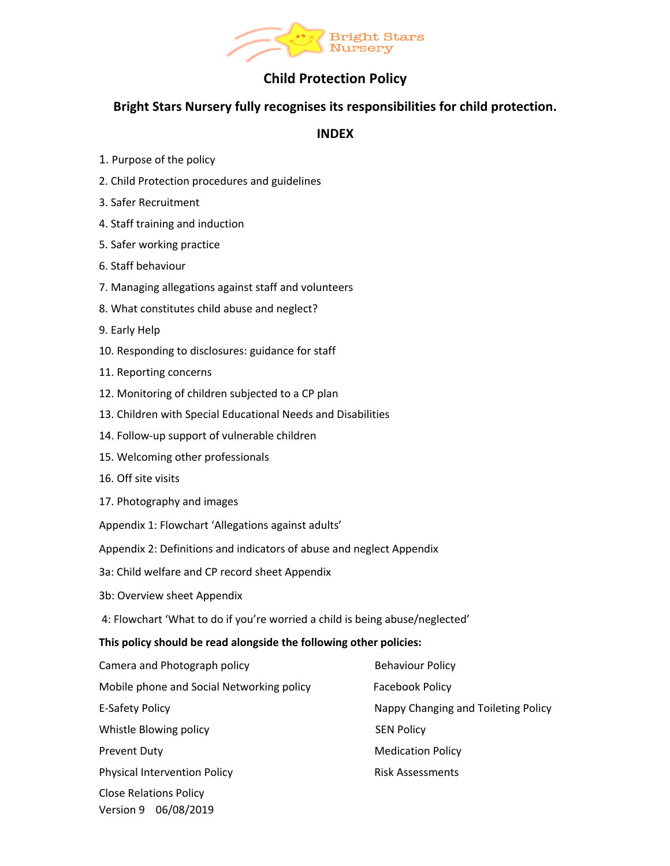

# **Child Protection Policy**

# **Bright Stars Nursery fully recognises its responsibilities for child protection.**

# **INDEX**

- 1. Purpose of the policy
- 2. Child Protection procedures and guidelines
- 3. Safer Recruitment
- 4. Staff training and induction
- 5. Safer working practice
- 6. Staff behaviour
- 7. Managing allegations against staff and volunteers
- 8. What constitutes child abuse and neglect?
- 9. Early Help
- 10. Responding to disclosures: guidance for staff
- 11. Reporting concerns
- 12. Monitoring of children subjected to a CP plan
- 13. Children with Special Educational Needs and Disabilities
- 14. Follow-up support of vulnerable children
- 15. Welcoming other professionals
- 16. Off site visits
- 17. Photography and images

Appendix 1: Flowchart 'Allegations against adults'

- Appendix 2: Definitions and indicators of abuse and neglect Appendix
- 3a: Child welfare and CP record sheet Appendix
- 3b: Overview sheet Appendix
- 4: Flowchart 'What to do if you're worried a child is being abuse/neglected'

### **This policy should be read alongside the following other policies:**

| Camera and Photograph policy              | <b>Behaviour Policy</b>             |
|-------------------------------------------|-------------------------------------|
| Mobile phone and Social Networking policy | Facebook Policy                     |
| E-Safety Policy                           | Nappy Changing and Toileting Policy |
| Whistle Blowing policy                    | <b>SEN Policy</b>                   |
| <b>Prevent Duty</b>                       | <b>Medication Policy</b>            |
| <b>Physical Intervention Policy</b>       | <b>Risk Assessments</b>             |
| <b>Close Relations Policy</b>             |                                     |
| Version 9 06/08/2019                      |                                     |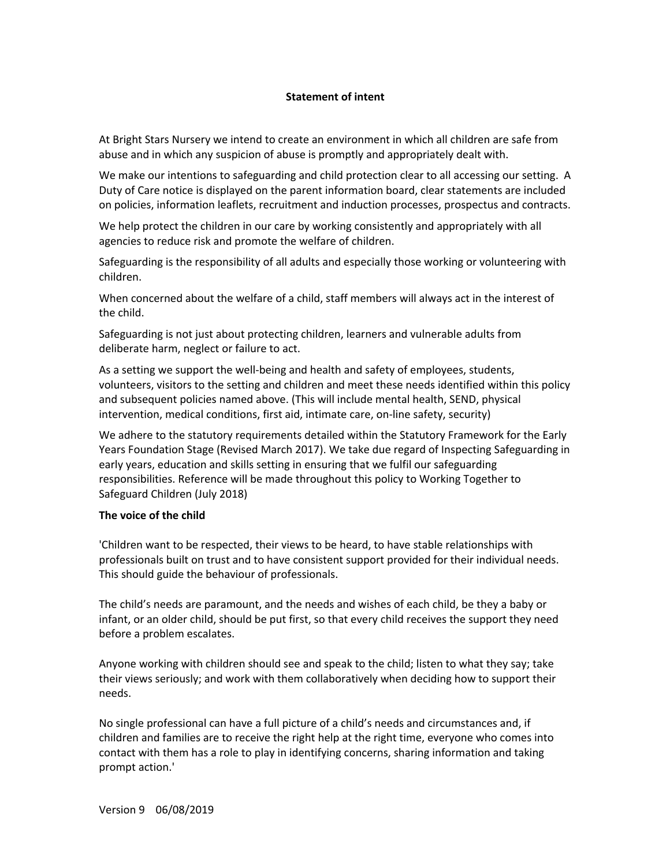### **Statement of intent**

At Bright Stars Nursery we intend to create an environment in which all children are safe from abuse and in which any suspicion of abuse is promptly and appropriately dealt with.

We make our intentions to safeguarding and child protection clear to all accessing our setting. A Duty of Care notice is displayed on the parent information board, clear statements are included on policies, information leaflets, recruitment and induction processes, prospectus and contracts.

We help protect the children in our care by working consistently and appropriately with all agencies to reduce risk and promote the welfare of children.

Safeguarding is the responsibility of all adults and especially those working or volunteering with children.

When concerned about the welfare of a child, staff members will always act in the interest of the child.

Safeguarding is not just about protecting children, learners and vulnerable adults from deliberate harm, neglect or failure to act.

As a setting we support the well-being and health and safety of employees, students, volunteers, visitors to the setting and children and meet these needs identified within this policy and subsequent policies named above. (This will include mental health, SEND, physical intervention, medical conditions, first aid, intimate care, on-line safety, security)

We adhere to the statutory requirements detailed within the Statutory Framework for the Early Years Foundation Stage (Revised March 2017). We take due regard of Inspecting Safeguarding in early years, education and skills setting in ensuring that we fulfil our safeguarding responsibilities. Reference will be made throughout this policy to Working Together to Safeguard Children (July 2018)

#### **The voice of the child**

'Children want to be respected, their views to be heard, to have stable relationships with professionals built on trust and to have consistent support provided for their individual needs. This should guide the behaviour of professionals.

The child's needs are paramount, and the needs and wishes of each child, be they a baby or infant, or an older child, should be put first, so that every child receives the support they need before a problem escalates.

Anyone working with children should see and speak to the child; listen to what they say; take their views seriously; and work with them collaboratively when deciding how to support their needs.

No single professional can have a full picture of a child's needs and circumstances and, if children and families are to receive the right help at the right time, everyone who comes into contact with them has a role to play in identifying concerns, sharing information and taking prompt action.'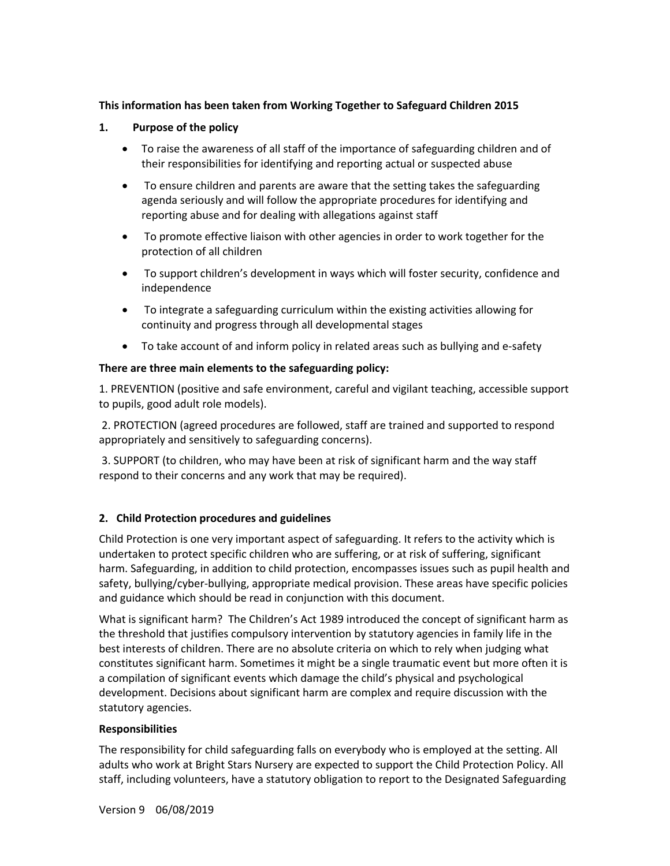# **This information has been taken from Working Together to Safeguard Children 2015**

### **1. Purpose of the policy**

- To raise the awareness of all staff of the importance of safeguarding children and of their responsibilities for identifying and reporting actual or suspected abuse
- To ensure children and parents are aware that the setting takes the safeguarding agenda seriously and will follow the appropriate procedures for identifying and reporting abuse and for dealing with allegations against staff
- To promote effective liaison with other agencies in order to work together for the protection of all children
- To support children's development in ways which will foster security, confidence and independence
- To integrate a safeguarding curriculum within the existing activities allowing for continuity and progress through all developmental stages
- To take account of and inform policy in related areas such as bullying and e-safety

### **There are three main elements to the safeguarding policy:**

1. PREVENTION (positive and safe environment, careful and vigilant teaching, accessible support to pupils, good adult role models).

2. PROTECTION (agreed procedures are followed, staff are trained and supported to respond appropriately and sensitively to safeguarding concerns).

3. SUPPORT (to children, who may have been at risk of significant harm and the way staff respond to their concerns and any work that may be required).

### **2. Child Protection procedures and guidelines**

Child Protection is one very important aspect of safeguarding. It refers to the activity which is undertaken to protect specific children who are suffering, or at risk of suffering, significant harm. Safeguarding, in addition to child protection, encompasses issues such as pupil health and safety, bullying/cyber-bullying, appropriate medical provision. These areas have specific policies and guidance which should be read in conjunction with this document.

What is significant harm? The Children's Act 1989 introduced the concept of significant harm as the threshold that justifies compulsory intervention by statutory agencies in family life in the best interests of children. There are no absolute criteria on which to rely when judging what constitutes significant harm. Sometimes it might be a single traumatic event but more often it is a compilation of significant events which damage the child's physical and psychological development. Decisions about significant harm are complex and require discussion with the statutory agencies.

### **Responsibilities**

The responsibility for child safeguarding falls on everybody who is employed at the setting. All adults who work at Bright Stars Nursery are expected to support the Child Protection Policy. All staff, including volunteers, have a statutory obligation to report to the Designated Safeguarding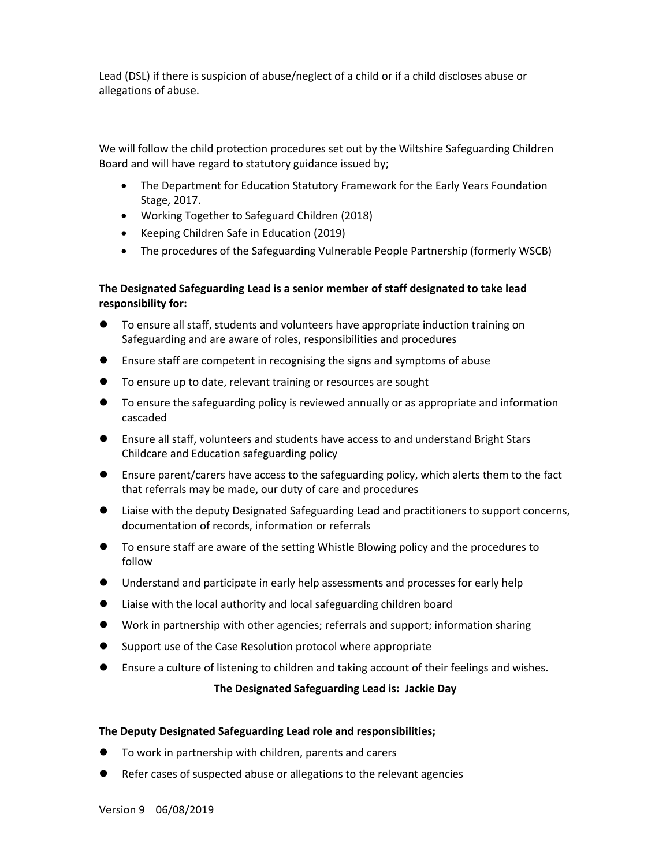Lead (DSL) if there is suspicion of abuse/neglect of a child or if a child discloses abuse or allegations of abuse.

We will follow the child protection procedures set out by the Wiltshire Safeguarding Children Board and will have regard to statutory guidance issued by;

- The Department for Education Statutory Framework for the Early Years Foundation Stage, 2017.
- Working Together to Safeguard Children (2018)
- Keeping Children Safe in Education (2019)
- The procedures of the Safeguarding Vulnerable People Partnership (formerly WSCB)

# **The Designated Safeguarding Lead is a senior member of staff designated to take lead responsibility for:**

- To ensure all staff, students and volunteers have appropriate induction training on Safeguarding and are aware of roles, responsibilities and procedures
- l Ensure staff are competent in recognising the signs and symptoms of abuse
- $\bullet$  To ensure up to date, relevant training or resources are sought
- $\bullet$  To ensure the safeguarding policy is reviewed annually or as appropriate and information cascaded
- **.** Ensure all staff, volunteers and students have access to and understand Bright Stars Childcare and Education safeguarding policy
- **•** Ensure parent/carers have access to the safeguarding policy, which alerts them to the fact that referrals may be made, our duty of care and procedures
- **I.** Liaise with the deputy Designated Safeguarding Lead and practitioners to support concerns, documentation of records, information or referrals
- **•** To ensure staff are aware of the setting Whistle Blowing policy and the procedures to follow
- **•** Understand and participate in early help assessments and processes for early help
- l Liaise with the local authority and local safeguarding children board
- l Work in partnership with other agencies; referrals and support; information sharing
- Support use of the Case Resolution protocol where appropriate
- l Ensure a culture of listening to children and taking account of their feelings and wishes.

### **The Designated Safeguarding Lead is: Jackie Day**

### **The Deputy Designated Safeguarding Lead role and responsibilities;**

- **To work in partnership with children, parents and carers**
- Refer cases of suspected abuse or allegations to the relevant agencies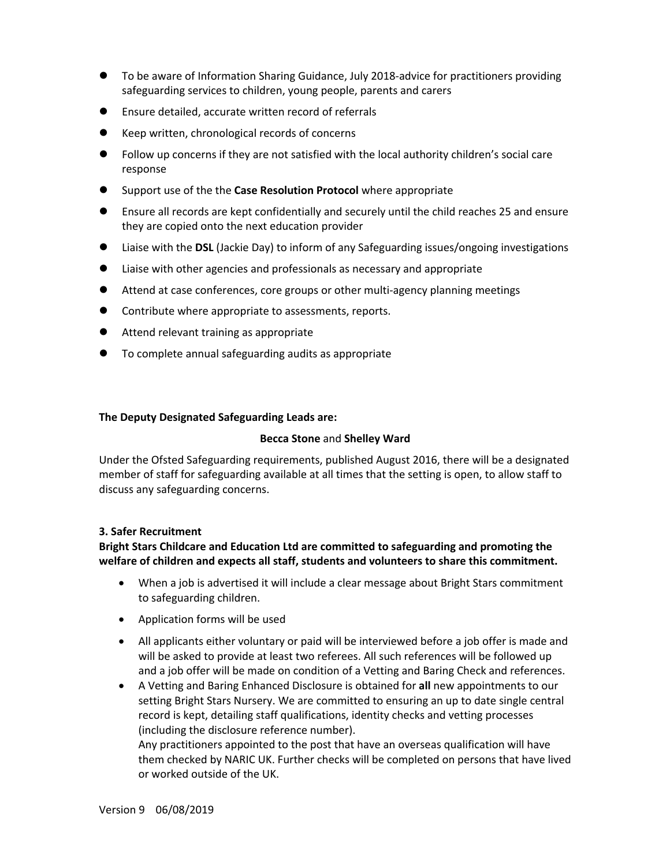- **•** To be aware of Information Sharing Guidance, July 2018-advice for practitioners providing safeguarding services to children, young people, parents and carers
- **•** Ensure detailed, accurate written record of referrals
- l Keep written, chronological records of concerns
- l Follow up concerns if they are not satisfied with the local authority children's social care response
- **The Support use of the the Case Resolution Protocol** where appropriate
- **•** Ensure all records are kept confidentially and securely until the child reaches 25 and ensure they are copied onto the next education provider
- **•** Liaise with the **DSL** (Jackie Day) to inform of any Safeguarding issues/ongoing investigations
- l Liaise with other agencies and professionals as necessary and appropriate
- $\bullet$  Attend at case conferences, core groups or other multi-agency planning meetings
- **•** Contribute where appropriate to assessments, reports.
- $\bullet$  Attend relevant training as appropriate
- **•** To complete annual safeguarding audits as appropriate

### **The Deputy Designated Safeguarding Leads are:**

### **Becca Stone** and **Shelley Ward**

Under the Ofsted Safeguarding requirements, published August 2016, there will be a designated member of staff for safeguarding available at all times that the setting is open, to allow staff to discuss any safeguarding concerns.

### **3. Safer Recruitment**

**Bright Stars Childcare and Education Ltd are committed to safeguarding and promoting the welfare of children and expects all staff, students and volunteers to share this commitment.** 

- When a job is advertised it will include a clear message about Bright Stars commitment to safeguarding children.
- Application forms will be used
- All applicants either voluntary or paid will be interviewed before a job offer is made and will be asked to provide at least two referees. All such references will be followed up and a job offer will be made on condition of a Vetting and Baring Check and references.
- A Vetting and Baring Enhanced Disclosure is obtained for **all** new appointments to our setting Bright Stars Nursery. We are committed to ensuring an up to date single central record is kept, detailing staff qualifications, identity checks and vetting processes (including the disclosure reference number).

Any practitioners appointed to the post that have an overseas qualification will have them checked by NARIC UK. Further checks will be completed on persons that have lived or worked outside of the UK.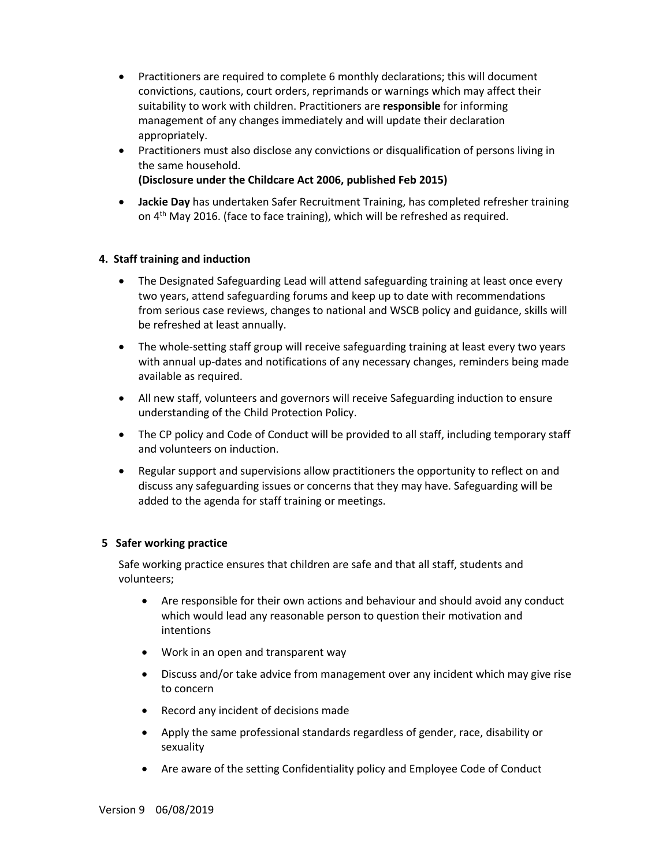- Practitioners are required to complete 6 monthly declarations; this will document convictions, cautions, court orders, reprimands or warnings which may affect their suitability to work with children. Practitioners are **responsible** for informing management of any changes immediately and will update their declaration appropriately.
- Practitioners must also disclose any convictions or disqualification of persons living in the same household.

# **(Disclosure under the Childcare Act 2006, published Feb 2015)**

• **Jackie Day** has undertaken Safer Recruitment Training, has completed refresher training on 4<sup>th</sup> May 2016. (face to face training), which will be refreshed as required.

# **4. Staff training and induction**

- The Designated Safeguarding Lead will attend safeguarding training at least once every two years, attend safeguarding forums and keep up to date with recommendations from serious case reviews, changes to national and WSCB policy and guidance, skills will be refreshed at least annually.
- The whole-setting staff group will receive safeguarding training at least every two years with annual up-dates and notifications of any necessary changes, reminders being made available as required.
- All new staff, volunteers and governors will receive Safeguarding induction to ensure understanding of the Child Protection Policy.
- The CP policy and Code of Conduct will be provided to all staff, including temporary staff and volunteers on induction.
- Regular support and supervisions allow practitioners the opportunity to reflect on and discuss any safeguarding issues or concerns that they may have. Safeguarding will be added to the agenda for staff training or meetings.

### **5 Safer working practice**

Safe working practice ensures that children are safe and that all staff, students and volunteers;

- Are responsible for their own actions and behaviour and should avoid any conduct which would lead any reasonable person to question their motivation and intentions
- Work in an open and transparent way
- Discuss and/or take advice from management over any incident which may give rise to concern
- Record any incident of decisions made
- Apply the same professional standards regardless of gender, race, disability or sexuality
- Are aware of the setting Confidentiality policy and Employee Code of Conduct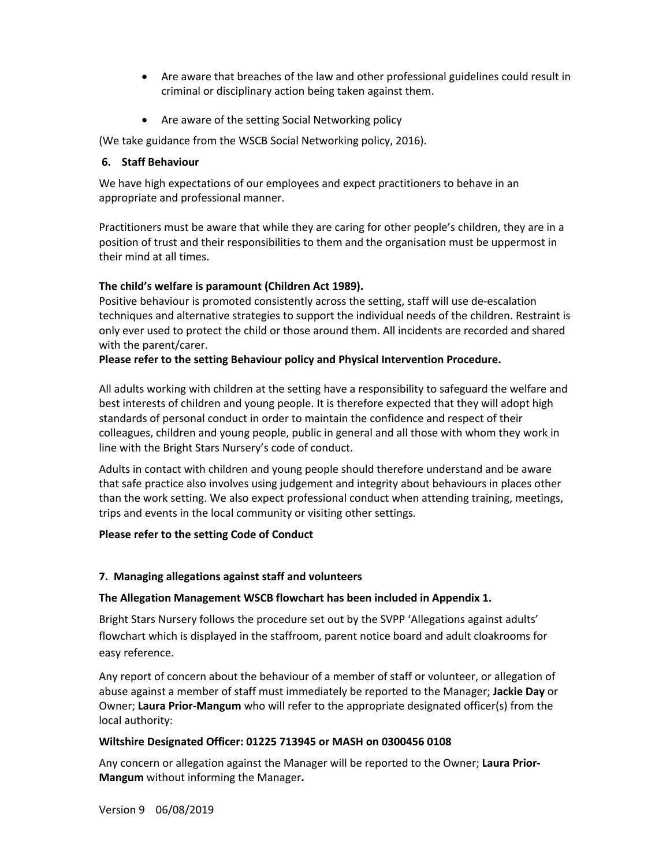- Are aware that breaches of the law and other professional guidelines could result in criminal or disciplinary action being taken against them.
- Are aware of the setting Social Networking policy

(We take guidance from the WSCB Social Networking policy, 2016).

# **6. Staff Behaviour**

We have high expectations of our employees and expect practitioners to behave in an appropriate and professional manner.

Practitioners must be aware that while they are caring for other people's children, they are in a position of trust and their responsibilities to them and the organisation must be uppermost in their mind at all times.

# **The child's welfare is paramount (Children Act 1989).**

Positive behaviour is promoted consistently across the setting, staff will use de-escalation techniques and alternative strategies to support the individual needs of the children. Restraint is only ever used to protect the child or those around them. All incidents are recorded and shared with the parent/carer.

# **Please refer to the setting Behaviour policy and Physical Intervention Procedure.**

All adults working with children at the setting have a responsibility to safeguard the welfare and best interests of children and young people. It is therefore expected that they will adopt high standards of personal conduct in order to maintain the confidence and respect of their colleagues, children and young people, public in general and all those with whom they work in line with the Bright Stars Nursery's code of conduct.

Adults in contact with children and young people should therefore understand and be aware that safe practice also involves using judgement and integrity about behaviours in places other than the work setting. We also expect professional conduct when attending training, meetings, trips and events in the local community or visiting other settings.

### **Please refer to the setting Code of Conduct**

### **7. Managing allegations against staff and volunteers**

### **The Allegation Management WSCB flowchart has been included in Appendix 1.**

Bright Stars Nursery follows the procedure set out by the SVPP 'Allegations against adults' flowchart which is displayed in the staffroom, parent notice board and adult cloakrooms for easy reference.

Any report of concern about the behaviour of a member of staff or volunteer, or allegation of abuse against a member of staff must immediately be reported to the Manager; **Jackie Day** or Owner; **Laura Prior-Mangum** who will refer to the appropriate designated officer(s) from the local authority:

### **Wiltshire Designated Officer: 01225 713945 or MASH on 0300456 0108**

Any concern or allegation against the Manager will be reported to the Owner; **Laura Prior-Mangum** without informing the Manager**.**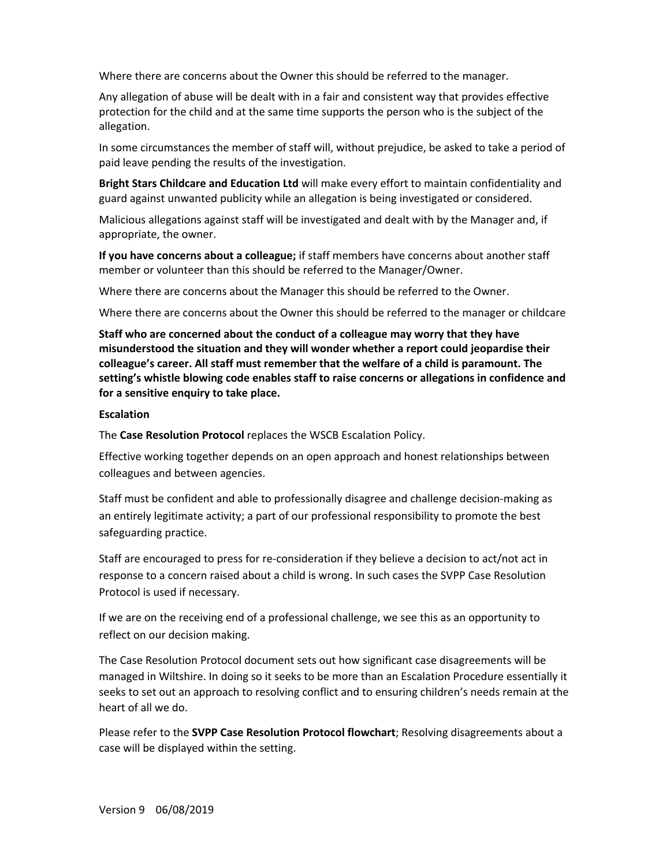Where there are concerns about the Owner this should be referred to the manager.

Any allegation of abuse will be dealt with in a fair and consistent way that provides effective protection for the child and at the same time supports the person who is the subject of the allegation.

In some circumstances the member of staff will, without prejudice, be asked to take a period of paid leave pending the results of the investigation.

**Bright Stars Childcare and Education Ltd** will make every effort to maintain confidentiality and guard against unwanted publicity while an allegation is being investigated or considered.

Malicious allegations against staff will be investigated and dealt with by the Manager and, if appropriate, the owner.

**If you have concerns about a colleague;** if staff members have concerns about another staff member or volunteer than this should be referred to the Manager/Owner.

Where there are concerns about the Manager this should be referred to the Owner.

Where there are concerns about the Owner this should be referred to the manager or childcare

**Staff who are concerned about the conduct of a colleague may worry that they have misunderstood the situation and they will wonder whether a report could jeopardise their colleague's career. All staff must remember that the welfare of a child is paramount. The setting's whistle blowing code enables staff to raise concerns or allegations in confidence and for a sensitive enquiry to take place.**

#### **Escalation**

The **Case Resolution Protocol** replaces the WSCB Escalation Policy.

Effective working together depends on an open approach and honest relationships between colleagues and between agencies.

Staff must be confident and able to professionally disagree and challenge decision-making as an entirely legitimate activity; a part of our professional responsibility to promote the best safeguarding practice.

Staff are encouraged to press for re-consideration if they believe a decision to act/not act in response to a concern raised about a child is wrong. In such cases the SVPP Case Resolution Protocol is used if necessary.

If we are on the receiving end of a professional challenge, we see this as an opportunity to reflect on our decision making.

The Case Resolution Protocol document sets out how significant case disagreements will be managed in Wiltshire. In doing so it seeks to be more than an Escalation Procedure essentially it seeks to set out an approach to resolving conflict and to ensuring children's needs remain at the heart of all we do.

Please refer to the **SVPP Case Resolution Protocol flowchart**; Resolving disagreements about a case will be displayed within the setting.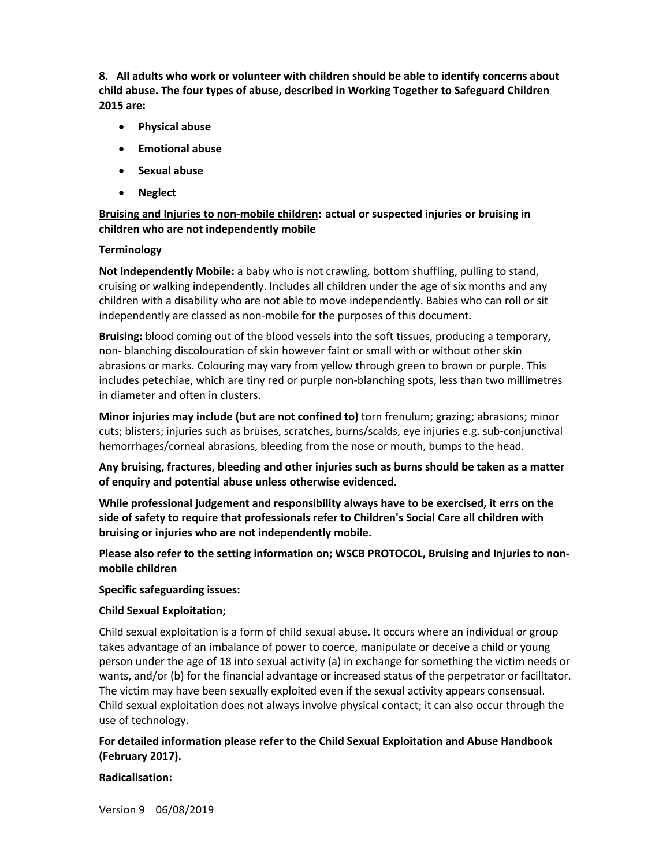**8. All adults who work or volunteer with children should be able to identify concerns about child abuse. The four types of abuse, described in Working Together to Safeguard Children 2015 are:** 

- **Physical abuse**
- **Emotional abuse**
- **Sexual abuse**
- **Neglect**

# **Bruising and Injuries to non-mobile children: actual or suspected injuries or bruising in children who are not independently mobile**

### **Terminology**

**Not Independently Mobile:** a baby who is not crawling, bottom shuffling, pulling to stand, cruising or walking independently. Includes all children under the age of six months and any children with a disability who are not able to move independently. Babies who can roll or sit independently are classed as non-mobile for the purposes of this document**.** 

**Bruising:** blood coming out of the blood vessels into the soft tissues, producing a temporary, non- blanching discolouration of skin however faint or small with or without other skin abrasions or marks. Colouring may vary from yellow through green to brown or purple. This includes petechiae, which are tiny red or purple non-blanching spots, less than two millimetres in diameter and often in clusters.

**Minor injuries may include (but are not confined to)** torn frenulum; grazing; abrasions; minor cuts; blisters; injuries such as bruises, scratches, burns/scalds, eye injuries e.g. sub-conjunctival hemorrhages/corneal abrasions, bleeding from the nose or mouth, bumps to the head.

**Any bruising, fractures, bleeding and other injuries such as burns should be taken as a matter of enquiry and potential abuse unless otherwise evidenced.** 

**While professional judgement and responsibility always have to be exercised, it errs on the side of safety to require that professionals refer to Children's Social Care all children with bruising or injuries who are not independently mobile.**

**Please also refer to the setting information on; WSCB PROTOCOL, Bruising and Injuries to nonmobile children**

#### **Specific safeguarding issues:**

### **Child Sexual Exploitation;**

Child sexual exploitation is a form of child sexual abuse. It occurs where an individual or group takes advantage of an imbalance of power to coerce, manipulate or deceive a child or young person under the age of 18 into sexual activity (a) in exchange for something the victim needs or wants, and/or (b) for the financial advantage or increased status of the perpetrator or facilitator. The victim may have been sexually exploited even if the sexual activity appears consensual. Child sexual exploitation does not always involve physical contact; it can also occur through the use of technology.

# **For detailed information please refer to the Child Sexual Exploitation and Abuse Handbook (February 2017).**

#### **Radicalisation:**

Version 9 06/08/2019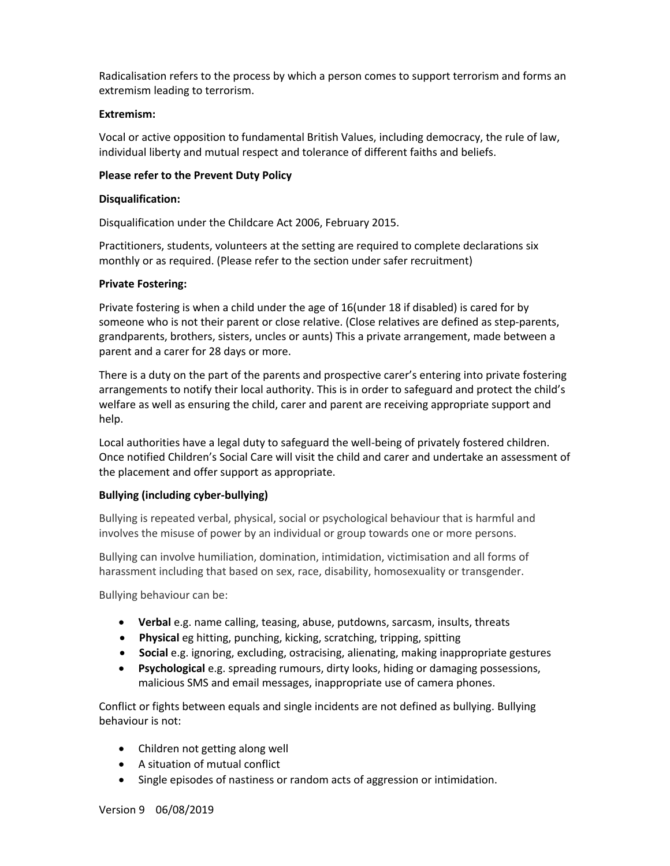Radicalisation refers to the process by which a person comes to support terrorism and forms an extremism leading to terrorism.

#### **Extremism:**

Vocal or active opposition to fundamental British Values, including democracy, the rule of law, individual liberty and mutual respect and tolerance of different faiths and beliefs.

#### **Please refer to the Prevent Duty Policy**

#### **Disqualification:**

Disqualification under the Childcare Act 2006, February 2015.

Practitioners, students, volunteers at the setting are required to complete declarations six monthly or as required. (Please refer to the section under safer recruitment)

#### **Private Fostering:**

Private fostering is when a child under the age of 16(under 18 if disabled) is cared for by someone who is not their parent or close relative. (Close relatives are defined as step-parents, grandparents, brothers, sisters, uncles or aunts) This a private arrangement, made between a parent and a carer for 28 days or more.

There is a duty on the part of the parents and prospective carer's entering into private fostering arrangements to notify their local authority. This is in order to safeguard and protect the child's welfare as well as ensuring the child, carer and parent are receiving appropriate support and help.

Local authorities have a legal duty to safeguard the well-being of privately fostered children. Once notified Children's Social Care will visit the child and carer and undertake an assessment of the placement and offer support as appropriate.

### **Bullying (including cyber-bullying)**

Bullying is repeated verbal, physical, social or psychological behaviour that is harmful and involves the misuse of power by an individual or group towards one or more persons.

Bullying can involve humiliation, domination, intimidation, victimisation and all forms of harassment including that based on sex, race, disability, homosexuality or transgender.

Bullying behaviour can be:

- **Verbal** e.g. name calling, teasing, abuse, putdowns, sarcasm, insults, threats
- **Physical** eg hitting, punching, kicking, scratching, tripping, spitting
- **Social** e.g. ignoring, excluding, ostracising, alienating, making inappropriate gestures
- **Psychological** e.g. spreading rumours, dirty looks, hiding or damaging possessions, malicious SMS and email messages, inappropriate use of camera phones.

Conflict or fights between equals and single incidents are not defined as bullying. Bullying behaviour is not:

- Children not getting along well
- A situation of mutual conflict
- Single episodes of nastiness or random acts of aggression or intimidation.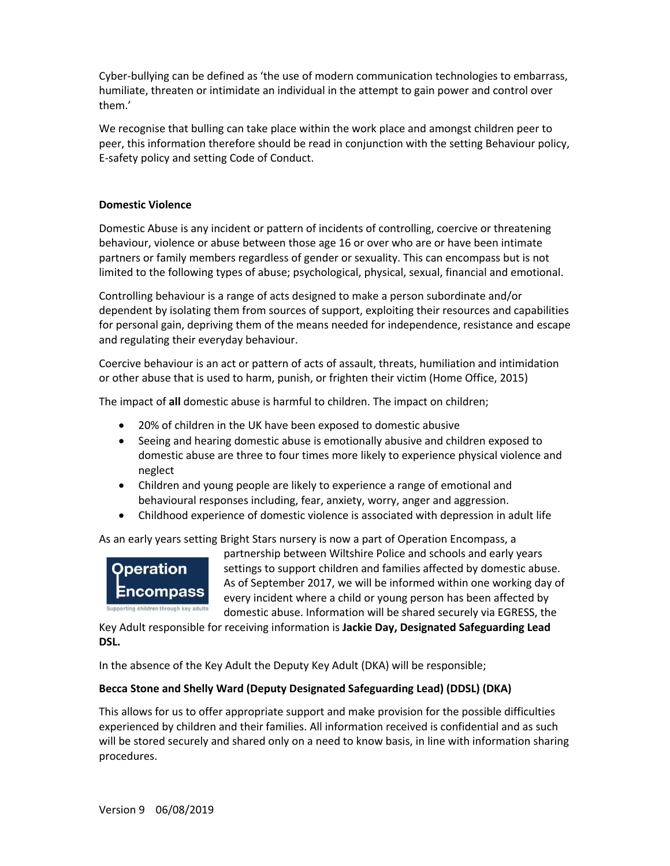Cyber-bullying can be defined as 'the use of modern communication technologies to embarrass, humiliate, threaten or intimidate an individual in the attempt to gain power and control over them.'

We recognise that bulling can take place within the work place and amongst children peer to peer, this information therefore should be read in conjunction with the setting Behaviour policy, E-safety policy and setting Code of Conduct.

#### **Domestic Violence**

Domestic Abuse is any incident or pattern of incidents of controlling, coercive or threatening behaviour, violence or abuse between those age 16 or over who are or have been intimate partners or family members regardless of gender or sexuality. This can encompass but is not limited to the following types of abuse; psychological, physical, sexual, financial and emotional.

Controlling behaviour is a range of acts designed to make a person subordinate and/or dependent by isolating them from sources of support, exploiting their resources and capabilities for personal gain, depriving them of the means needed for independence, resistance and escape and regulating their everyday behaviour.

Coercive behaviour is an act or pattern of acts of assault, threats, humiliation and intimidation or other abuse that is used to harm, punish, or frighten their victim (Home Office, 2015)

The impact of **all** domestic abuse is harmful to children. The impact on children;

- 20% of children in the UK have been exposed to domestic abusive
- Seeing and hearing domestic abuse is emotionally abusive and children exposed to domestic abuse are three to four times more likely to experience physical violence and neglect
- Children and young people are likely to experience a range of emotional and behavioural responses including, fear, anxiety, worry, anger and aggression.
- Childhood experience of domestic violence is associated with depression in adult life

As an early years setting Bright Stars nursery is now a part of Operation Encompass, a



partnership between Wiltshire Police and schools and early years settings to support children and families affected by domestic abuse. As of September 2017, we will be informed within one working day of every incident where a child or young person has been affected by domestic abuse. Information will be shared securely via EGRESS, the

Key Adult responsible for receiving information is **Jackie Day, Designated Safeguarding Lead DSL.**

In the absence of the Key Adult the Deputy Key Adult (DKA) will be responsible;

### **Becca Stone and Shelly Ward (Deputy Designated Safeguarding Lead) (DDSL) (DKA)**

This allows for us to offer appropriate support and make provision for the possible difficulties experienced by children and their families. All information received is confidential and as such will be stored securely and shared only on a need to know basis, in line with information sharing procedures.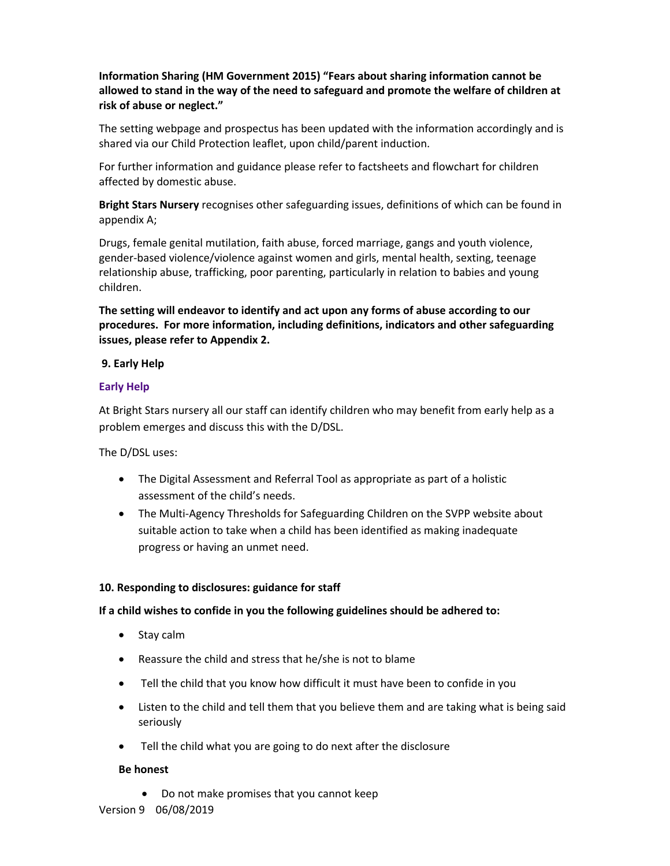**Information Sharing (HM Government 2015) "Fears about sharing information cannot be allowed to stand in the way of the need to safeguard and promote the welfare of children at risk of abuse or neglect."**

The setting webpage and prospectus has been updated with the information accordingly and is shared via our Child Protection leaflet, upon child/parent induction.

For further information and guidance please refer to factsheets and flowchart for children affected by domestic abuse.

**Bright Stars Nursery** recognises other safeguarding issues, definitions of which can be found in appendix A;

Drugs, female genital mutilation, faith abuse, forced marriage, gangs and youth violence, gender-based violence/violence against women and girls, mental health, sexting, teenage relationship abuse, trafficking, poor parenting, particularly in relation to babies and young children.

**The setting will endeavor to identify and act upon any forms of abuse according to our procedures. For more information, including definitions, indicators and other safeguarding issues, please refer to Appendix 2.** 

### **9. Early Help**

### **Early Help**

At Bright Stars nursery all our staff can identify children who may benefit from early help as a problem emerges and discuss this with the D/DSL.

The D/DSL uses:

- The Digital Assessment and Referral Tool as appropriate as part of a holistic assessment of the child's needs.
- The Multi-Agency Thresholds for Safeguarding Children on the SVPP website about suitable action to take when a child has been identified as making inadequate progress or having an unmet need.

### **10. Responding to disclosures: guidance for staff**

### **If a child wishes to confide in you the following guidelines should be adhered to:**

- Stay calm
- Reassure the child and stress that he/she is not to blame
- Tell the child that you know how difficult it must have been to confide in you
- Listen to the child and tell them that you believe them and are taking what is being said seriously
- Tell the child what you are going to do next after the disclosure

### **Be honest**

• Do not make promises that you cannot keep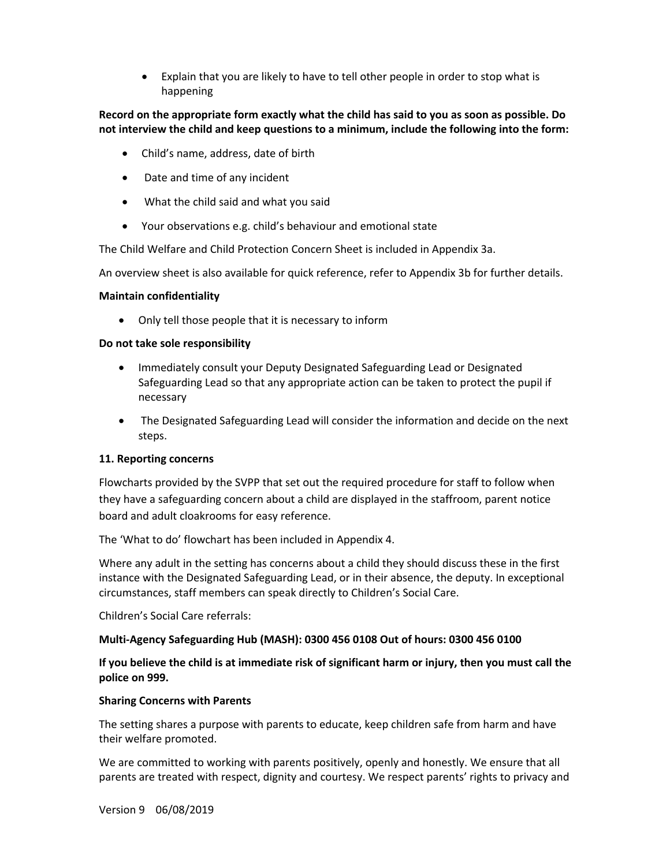• Explain that you are likely to have to tell other people in order to stop what is happening

# **Record on the appropriate form exactly what the child has said to you as soon as possible. Do not interview the child and keep questions to a minimum, include the following into the form:**

- Child's name, address, date of birth
- Date and time of any incident
- What the child said and what you said
- Your observations e.g. child's behaviour and emotional state

The Child Welfare and Child Protection Concern Sheet is included in Appendix 3a.

An overview sheet is also available for quick reference, refer to Appendix 3b for further details.

#### **Maintain confidentiality**

• Only tell those people that it is necessary to inform

### **Do not take sole responsibility**

- Immediately consult your Deputy Designated Safeguarding Lead or Designated Safeguarding Lead so that any appropriate action can be taken to protect the pupil if necessary
- The Designated Safeguarding Lead will consider the information and decide on the next steps.

### **11. Reporting concerns**

Flowcharts provided by the SVPP that set out the required procedure for staff to follow when they have a safeguarding concern about a child are displayed in the staffroom, parent notice board and adult cloakrooms for easy reference.

The 'What to do' flowchart has been included in Appendix 4.

Where any adult in the setting has concerns about a child they should discuss these in the first instance with the Designated Safeguarding Lead, or in their absence, the deputy. In exceptional circumstances, staff members can speak directly to Children's Social Care.

Children's Social Care referrals:

### **Multi-Agency Safeguarding Hub (MASH): 0300 456 0108 Out of hours: 0300 456 0100**

**If you believe the child is at immediate risk of significant harm or injury, then you must call the police on 999.** 

#### **Sharing Concerns with Parents**

The setting shares a purpose with parents to educate, keep children safe from harm and have their welfare promoted.

We are committed to working with parents positively, openly and honestly. We ensure that all parents are treated with respect, dignity and courtesy. We respect parents' rights to privacy and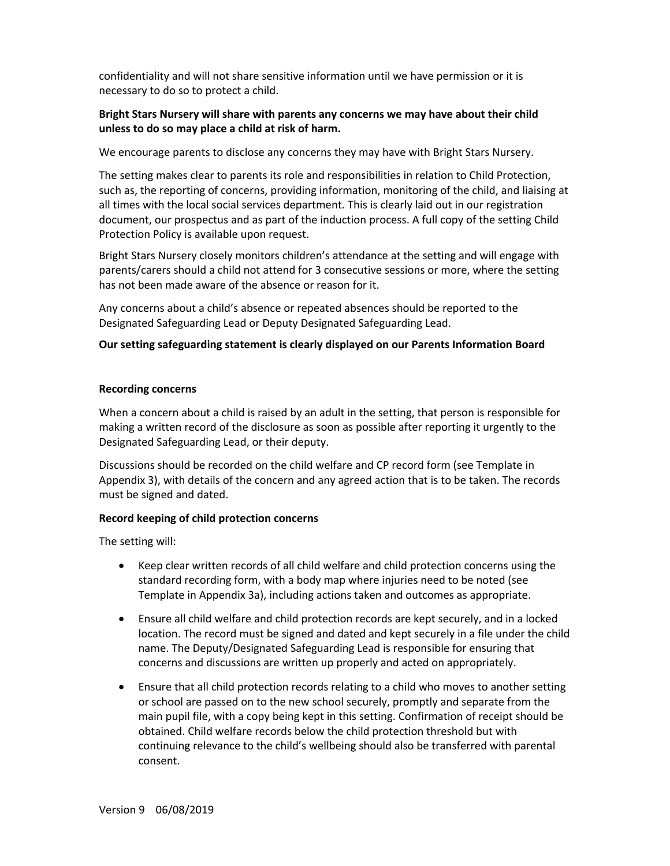confidentiality and will not share sensitive information until we have permission or it is necessary to do so to protect a child.

# **Bright Stars Nursery will share with parents any concerns we may have about their child unless to do so may place a child at risk of harm.**

We encourage parents to disclose any concerns they may have with Bright Stars Nursery.

The setting makes clear to parents its role and responsibilities in relation to Child Protection, such as, the reporting of concerns, providing information, monitoring of the child, and liaising at all times with the local social services department. This is clearly laid out in our registration document, our prospectus and as part of the induction process. A full copy of the setting Child Protection Policy is available upon request.

Bright Stars Nursery closely monitors children's attendance at the setting and will engage with parents/carers should a child not attend for 3 consecutive sessions or more, where the setting has not been made aware of the absence or reason for it.

Any concerns about a child's absence or repeated absences should be reported to the Designated Safeguarding Lead or Deputy Designated Safeguarding Lead.

### **Our setting safeguarding statement is clearly displayed on our Parents Information Board**

#### **Recording concerns**

When a concern about a child is raised by an adult in the setting, that person is responsible for making a written record of the disclosure as soon as possible after reporting it urgently to the Designated Safeguarding Lead, or their deputy.

Discussions should be recorded on the child welfare and CP record form (see Template in Appendix 3), with details of the concern and any agreed action that is to be taken. The records must be signed and dated.

### **Record keeping of child protection concerns**

The setting will:

- Keep clear written records of all child welfare and child protection concerns using the standard recording form, with a body map where injuries need to be noted (see Template in Appendix 3a), including actions taken and outcomes as appropriate.
- Ensure all child welfare and child protection records are kept securely, and in a locked location. The record must be signed and dated and kept securely in a file under the child name. The Deputy/Designated Safeguarding Lead is responsible for ensuring that concerns and discussions are written up properly and acted on appropriately.
- Ensure that all child protection records relating to a child who moves to another setting or school are passed on to the new school securely, promptly and separate from the main pupil file, with a copy being kept in this setting. Confirmation of receipt should be obtained. Child welfare records below the child protection threshold but with continuing relevance to the child's wellbeing should also be transferred with parental consent.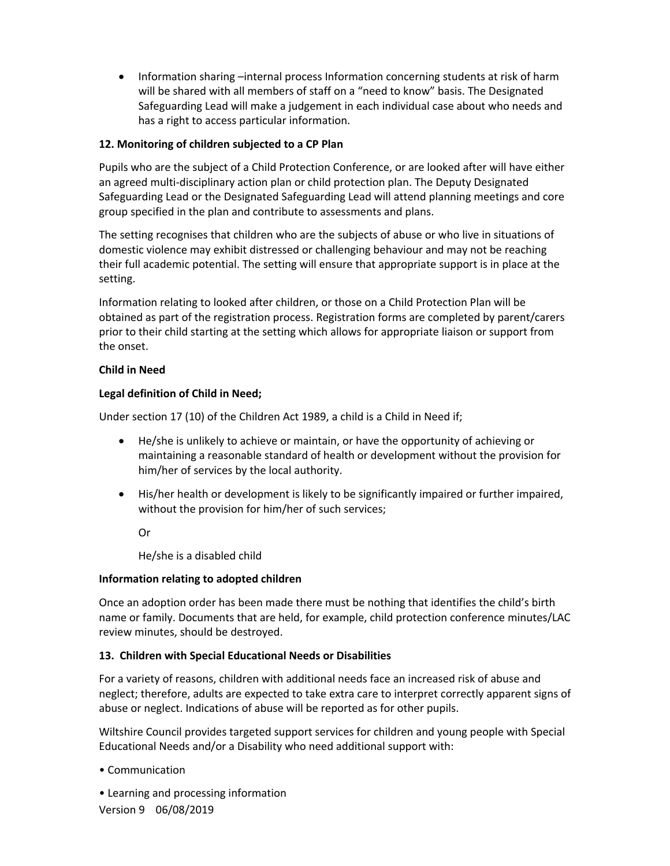• Information sharing –internal process Information concerning students at risk of harm will be shared with all members of staff on a "need to know" basis. The Designated Safeguarding Lead will make a judgement in each individual case about who needs and has a right to access particular information.

# **12. Monitoring of children subjected to a CP Plan**

Pupils who are the subject of a Child Protection Conference, or are looked after will have either an agreed multi-disciplinary action plan or child protection plan. The Deputy Designated Safeguarding Lead or the Designated Safeguarding Lead will attend planning meetings and core group specified in the plan and contribute to assessments and plans.

The setting recognises that children who are the subjects of abuse or who live in situations of domestic violence may exhibit distressed or challenging behaviour and may not be reaching their full academic potential. The setting will ensure that appropriate support is in place at the setting.

Information relating to looked after children, or those on a Child Protection Plan will be obtained as part of the registration process. Registration forms are completed by parent/carers prior to their child starting at the setting which allows for appropriate liaison or support from the onset.

### **Child in Need**

# **Legal definition of Child in Need;**

Under section 17 (10) of the Children Act 1989, a child is a Child in Need if;

- He/she is unlikely to achieve or maintain, or have the opportunity of achieving or maintaining a reasonable standard of health or development without the provision for him/her of services by the local authority.
- His/her health or development is likely to be significantly impaired or further impaired, without the provision for him/her of such services;

Or

He/she is a disabled child

### **Information relating to adopted children**

Once an adoption order has been made there must be nothing that identifies the child's birth name or family. Documents that are held, for example, child protection conference minutes/LAC review minutes, should be destroyed.

### **13. Children with Special Educational Needs or Disabilities**

For a variety of reasons, children with additional needs face an increased risk of abuse and neglect; therefore, adults are expected to take extra care to interpret correctly apparent signs of abuse or neglect. Indications of abuse will be reported as for other pupils.

Wiltshire Council provides targeted support services for children and young people with Special Educational Needs and/or a Disability who need additional support with:

• Communication

• Learning and processing information

Version 9 06/08/2019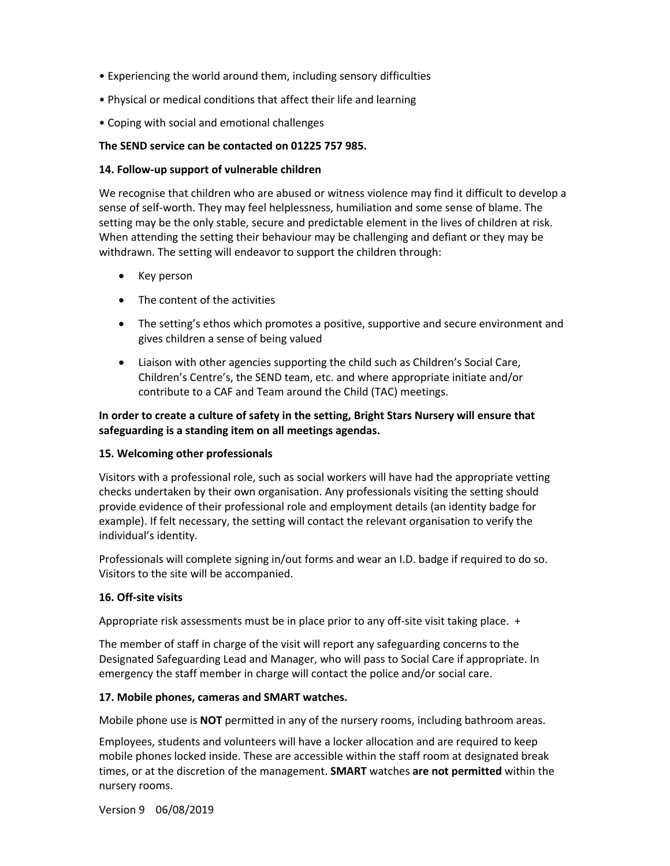- Experiencing the world around them, including sensory difficulties
- Physical or medical conditions that affect their life and learning
- Coping with social and emotional challenges

#### **The SEND service can be contacted on 01225 757 985.**

#### **14. Follow-up support of vulnerable children**

We recognise that children who are abused or witness violence may find it difficult to develop a sense of self-worth. They may feel helplessness, humiliation and some sense of blame. The setting may be the only stable, secure and predictable element in the lives of children at risk. When attending the setting their behaviour may be challenging and defiant or they may be withdrawn. The setting will endeavor to support the children through:

- Key person
- The content of the activities
- The setting's ethos which promotes a positive, supportive and secure environment and gives children a sense of being valued
- Liaison with other agencies supporting the child such as Children's Social Care, Children's Centre's, the SEND team, etc. and where appropriate initiate and/or contribute to a CAF and Team around the Child (TAC) meetings.

# **In order to create a culture of safety in the setting, Bright Stars Nursery will ensure that safeguarding is a standing item on all meetings agendas.**

### **15. Welcoming other professionals**

Visitors with a professional role, such as social workers will have had the appropriate vetting checks undertaken by their own organisation. Any professionals visiting the setting should provide evidence of their professional role and employment details (an identity badge for example). If felt necessary, the setting will contact the relevant organisation to verify the individual's identity.

Professionals will complete signing in/out forms and wear an I.D. badge if required to do so. Visitors to the site will be accompanied.

### **16. Off-site visits**

Appropriate risk assessments must be in place prior to any off-site visit taking place. +

The member of staff in charge of the visit will report any safeguarding concerns to the Designated Safeguarding Lead and Manager, who will pass to Social Care if appropriate. In emergency the staff member in charge will contact the police and/or social care.

#### **17. Mobile phones, cameras and SMART watches.**

Mobile phone use is **NOT** permitted in any of the nursery rooms, including bathroom areas.

Employees, students and volunteers will have a locker allocation and are required to keep mobile phones locked inside. These are accessible within the staff room at designated break times, or at the discretion of the management. **SMART** watches **are not permitted** within the nursery rooms.

Version 9 06/08/2019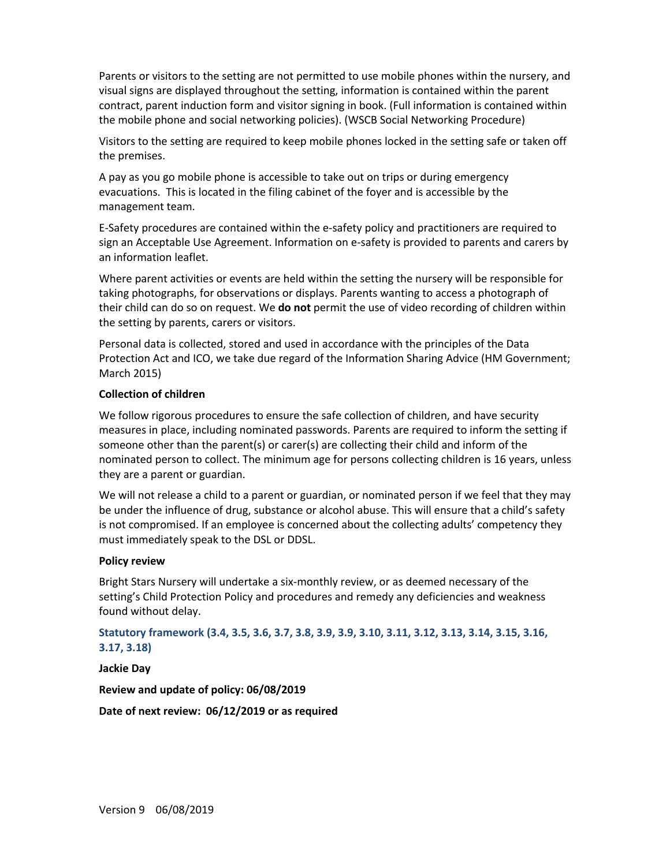Parents or visitors to the setting are not permitted to use mobile phones within the nursery, and visual signs are displayed throughout the setting, information is contained within the parent contract, parent induction form and visitor signing in book. (Full information is contained within the mobile phone and social networking policies). (WSCB Social Networking Procedure)

Visitors to the setting are required to keep mobile phones locked in the setting safe or taken off the premises.

A pay as you go mobile phone is accessible to take out on trips or during emergency evacuations. This is located in the filing cabinet of the foyer and is accessible by the management team.

E-Safety procedures are contained within the e-safety policy and practitioners are required to sign an Acceptable Use Agreement. Information on e-safety is provided to parents and carers by an information leaflet.

Where parent activities or events are held within the setting the nursery will be responsible for taking photographs, for observations or displays. Parents wanting to access a photograph of their child can do so on request. We **do not** permit the use of video recording of children within the setting by parents, carers or visitors.

Personal data is collected, stored and used in accordance with the principles of the Data Protection Act and ICO, we take due regard of the Information Sharing Advice (HM Government; March 2015)

### **Collection of children**

We follow rigorous procedures to ensure the safe collection of children, and have security measures in place, including nominated passwords. Parents are required to inform the setting if someone other than the parent(s) or carer(s) are collecting their child and inform of the nominated person to collect. The minimum age for persons collecting children is 16 years, unless they are a parent or guardian.

We will not release a child to a parent or guardian, or nominated person if we feel that they may be under the influence of drug, substance or alcohol abuse. This will ensure that a child's safety is not compromised. If an employee is concerned about the collecting adults' competency they must immediately speak to the DSL or DDSL.

#### **Policy review**

Bright Stars Nursery will undertake a six-monthly review, or as deemed necessary of the setting's Child Protection Policy and procedures and remedy any deficiencies and weakness found without delay.

**Statutory framework (3.4, 3.5, 3.6, 3.7, 3.8, 3.9, 3.9, 3.10, 3.11, 3.12, 3.13, 3.14, 3.15, 3.16, 3.17, 3.18)**

**Jackie Day**

**Review and update of policy: 06/08/2019**

**Date of next review: 06/12/2019 or as required**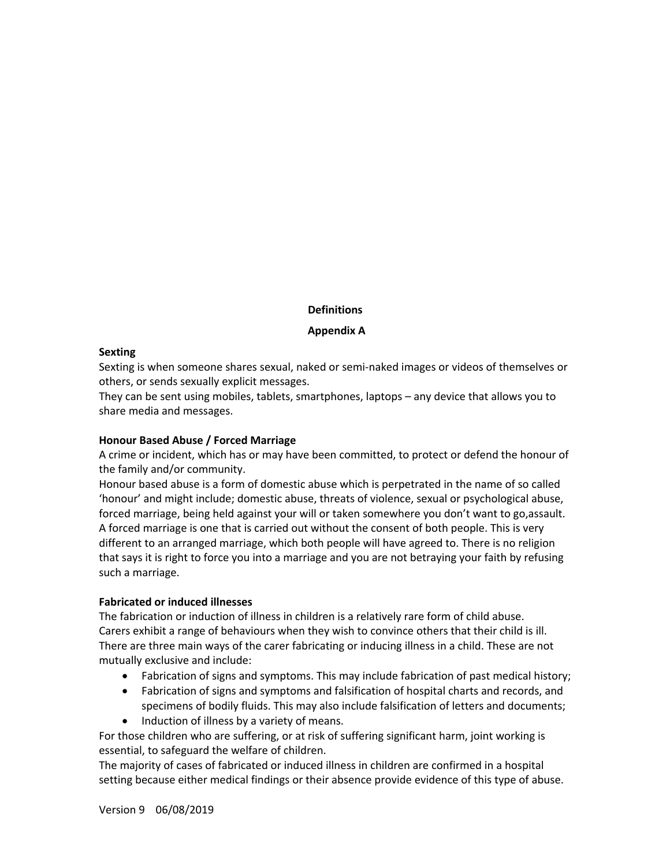### **Definitions**

#### **Appendix A**

#### **Sexting**

Sexting is when someone shares sexual, naked or semi-naked images or videos of themselves or others, or sends sexually explicit messages.

They can be sent using mobiles, tablets, smartphones, laptops – any device that allows you to share media and messages.

### **Honour Based Abuse / Forced Marriage**

A crime or incident, which has or may have been committed, to protect or defend the honour of the family and/or community.

Honour based abuse is a form of domestic abuse which is perpetrated in the name of so called 'honour' and might include; domestic abuse, threats of violence, sexual or psychological abuse, forced marriage, being held against your will or taken somewhere you don't want to go,assault. A forced marriage is one that is carried out without the consent of both people. This is very different to an arranged marriage, which both people will have agreed to. There is no religion that says it is right to force you into a marriage and you are not betraying your faith by refusing such a marriage.

### **Fabricated or induced illnesses**

The fabrication or induction of illness in children is a relatively rare form of child abuse. Carers exhibit a range of behaviours when they wish to convince others that their child is ill. There are three main ways of the carer fabricating or inducing illness in a child. These are not mutually exclusive and include:

- Fabrication of signs and symptoms. This may include fabrication of past medical history;
- Fabrication of signs and symptoms and falsification of hospital charts and records, and specimens of bodily fluids. This may also include falsification of letters and documents;
- Induction of illness by a variety of means.

For those children who are suffering, or at risk of suffering significant harm, joint working is essential, to safeguard the welfare of children.

The majority of cases of fabricated or induced illness in children are confirmed in a hospital setting because either medical findings or their absence provide evidence of this type of abuse.